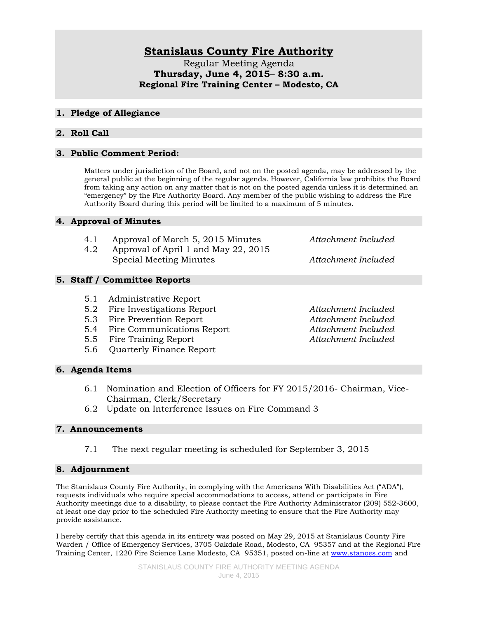# **Stanislaus County Fire Authority**

Regular Meeting Agenda **Thursday, June 4, 2015**– **8:30 a.m. Regional Fire Training Center – Modesto, CA**

### **1. Pledge of Allegiance**

# **2. Roll Call**

# **3. Public Comment Period:**

Matters under jurisdiction of the Board, and not on the posted agenda, may be addressed by the general public at the beginning of the regular agenda. However, California law prohibits the Board from taking any action on any matter that is not on the posted agenda unless it is determined an "emergency" by the Fire Authority Board. Any member of the public wishing to address the Fire Authority Board during this period will be limited to a maximum of 5 minutes.

### **4. Approval of Minutes**

- 4.1 Approval of March 5, 2015 Minutes *Attachment Included*
- 4.2 Approval of April 1 and May 22, 2015 Special Meeting Minutes *Attachment Included*

# **5. Staff / Committee Reports**

- 5.1 Administrative Report
- 5.2 Fire Investigations Report *Attachment Included*
- 5.3 Fire Prevention Report *Attachment Included*
- 5.4 Fire Communications Report *Attachment Included*
- 5.5 Fire Training Report *Attachment Included*
- 5.6 Quarterly Finance Report

### **6. Agenda Items**

- 6.1 Nomination and Election of Officers for FY 2015/2016- Chairman, Vice-Chairman, Clerk/Secretary
- 6.2 Update on Interference Issues on Fire Command 3

# **7. Announcements**

7.1 The next regular meeting is scheduled for September 3, 2015

# **8. Adjournment**

The Stanislaus County Fire Authority, in complying with the Americans With Disabilities Act ("ADA"), requests individuals who require special accommodations to access, attend or participate in Fire Authority meetings due to a disability, to please contact the Fire Authority Administrator (209) 552-3600, at least one day prior to the scheduled Fire Authority meeting to ensure that the Fire Authority may provide assistance.

I hereby certify that this agenda in its entirety was posted on May 29, 2015 at Stanislaus County Fire Warden / Office of Emergency Services, 3705 Oakdale Road, Modesto, CA 95357 and at the Regional Fire Training Center, 1220 Fire Science Lane Modesto, CA 95351, posted on-line at [www.stanoes.com](http://www.stanoes.com/) and